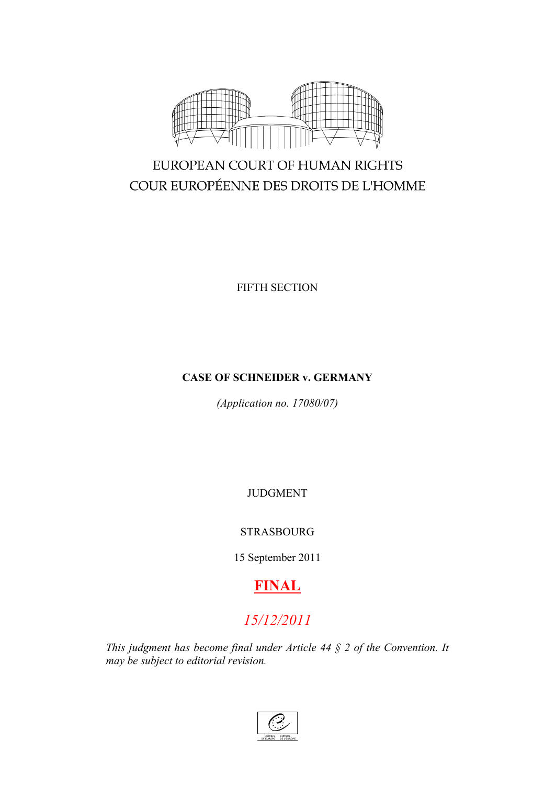

# EUROPEAN COURT OF HUMAN RIGHTS COUR EUROPÉENNE DES DROITS DE L'HOMME

FIFTH SECTION

# **CASE OF SCHNEIDER v. GERMANY**

*(Application no. 17080/07)*

JUDGMENT

## STRASBOURG

15 September 2011

# **FINAL**

# *15/12/2011*

*This judgment has become final under Article 44 § 2 of the Convention. It may be subject to editorial revision.*

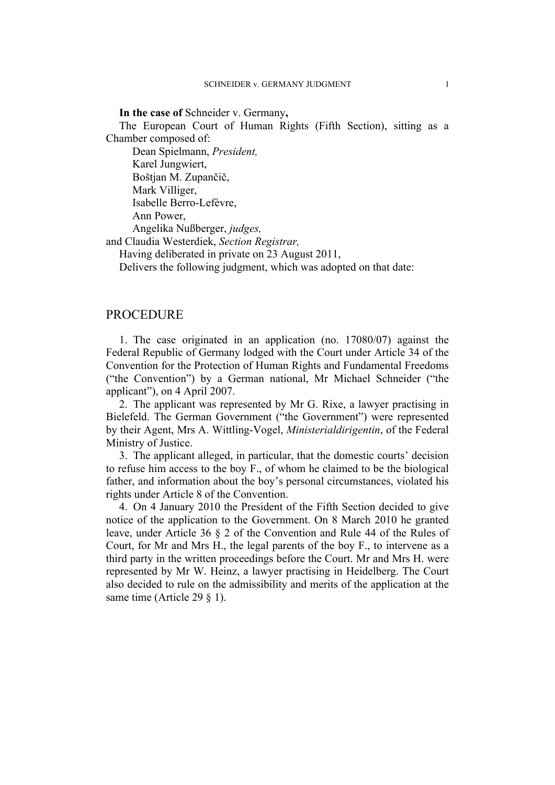#### **In the case of** Schneider v. Germany**,**

The European Court of Human Rights (Fifth Section), sitting as a Chamber composed of:

Dean Spielmann, *President,* Karel Jungwiert, Boštjan M. Zupančič, Mark Villiger, Isabelle Berro-Lefèvre, Ann Power, Angelika Nußberger, *judges,*

and Claudia Westerdiek, *Section Registrar,*

Having deliberated in private on 23 August 2011,

Delivers the following judgment, which was adopted on that date:

## **PROCEDURE**

1. The case originated in an application (no. 17080/07) against the Federal Republic of Germany lodged with the Court under Article 34 of the Convention for the Protection of Human Rights and Fundamental Freedoms ("the Convention") by a German national, Mr Michael Schneider ("the applicant"), on 4 April 2007.

2. The applicant was represented by Mr G. Rixe, a lawyer practising in Bielefeld. The German Government ("the Government") were represented by their Agent, Mrs A. Wittling-Vogel, *Ministerialdirigentin*, of the Federal Ministry of Justice.

3. The applicant alleged, in particular, that the domestic courts' decision to refuse him access to the boy F., of whom he claimed to be the biological father, and information about the boy's personal circumstances, violated his rights under Article 8 of the Convention.

4. On 4 January 2010 the President of the Fifth Section decided to give notice of the application to the Government. On 8 March 2010 he granted leave, under Article 36 § 2 of the Convention and Rule 44 of the Rules of Court, for Mr and Mrs H., the legal parents of the boy F., to intervene as a third party in the written proceedings before the Court. Mr and Mrs H. were represented by Mr W. Heinz, a lawyer practising in Heidelberg. The Court also decided to rule on the admissibility and merits of the application at the same time (Article 29  $\S$  1).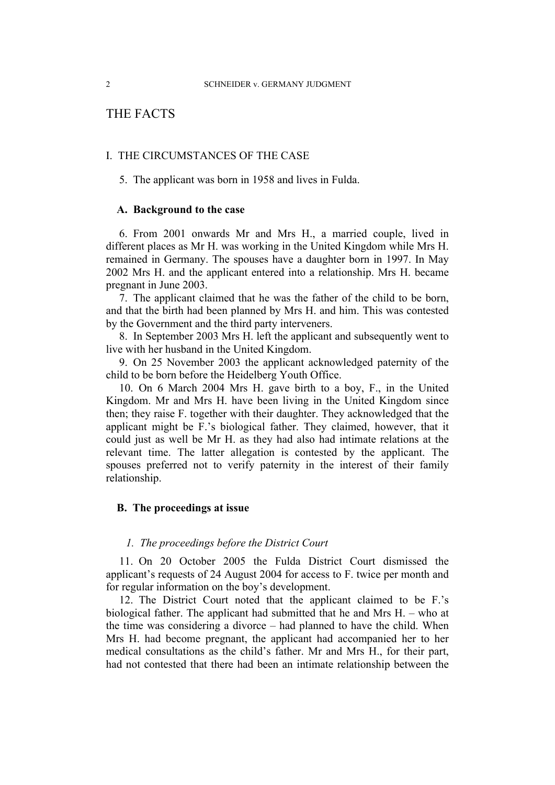## THE FACTS

## I. THE CIRCUMSTANCES OF THE CASE

5. The applicant was born in 1958 and lives in Fulda.

## **A. Background to the case**

6. From 2001 onwards Mr and Mrs H., a married couple, lived in different places as Mr H. was working in the United Kingdom while Mrs H. remained in Germany. The spouses have a daughter born in 1997. In May 2002 Mrs H. and the applicant entered into a relationship. Mrs H. became pregnant in June 2003.

7. The applicant claimed that he was the father of the child to be born, and that the birth had been planned by Mrs H. and him. This was contested by the Government and the third party interveners.

8. In September 2003 Mrs H. left the applicant and subsequently went to live with her husband in the United Kingdom.

9. On 25 November 2003 the applicant acknowledged paternity of the child to be born before the Heidelberg Youth Office.

10. On 6 March 2004 Mrs H. gave birth to a boy, F., in the United Kingdom. Mr and Mrs H. have been living in the United Kingdom since then; they raise F. together with their daughter. They acknowledged that the applicant might be F.'s biological father. They claimed, however, that it could just as well be Mr H. as they had also had intimate relations at the relevant time. The latter allegation is contested by the applicant. The spouses preferred not to verify paternity in the interest of their family relationship.

## **B. The proceedings at issue**

#### *1. The proceedings before the District Court*

11. On 20 October 2005 the Fulda District Court dismissed the applicant's requests of 24 August 2004 for access to F. twice per month and for regular information on the boy's development.

12. The District Court noted that the applicant claimed to be F.'s biological father. The applicant had submitted that he and Mrs H. – who at the time was considering a divorce – had planned to have the child. When Mrs H. had become pregnant, the applicant had accompanied her to her medical consultations as the child's father. Mr and Mrs H., for their part, had not contested that there had been an intimate relationship between the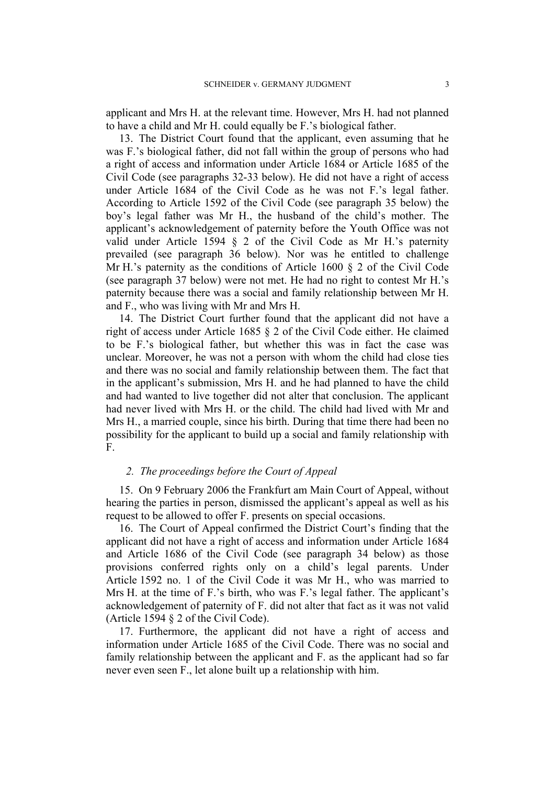applicant and Mrs H. at the relevant time. However, Mrs H. had not planned to have a child and Mr H. could equally be F.'s biological father.

13. The District Court found that the applicant, even assuming that he was F.'s biological father, did not fall within the group of persons who had a right of access and information under Article 1684 or Article 1685 of the Civil Code (see paragraphs 32-33 below). He did not have a right of access under Article 1684 of the Civil Code as he was not F.'s legal father. According to Article 1592 of the Civil Code (see paragraph 35 below) the boy's legal father was Mr H., the husband of the child's mother. The applicant's acknowledgement of paternity before the Youth Office was not valid under Article 1594 § 2 of the Civil Code as Mr H.'s paternity prevailed (see paragraph 36 below). Nor was he entitled to challenge Mr H.'s paternity as the conditions of Article 1600 § 2 of the Civil Code (see paragraph 37 below) were not met. He had no right to contest Mr H.'s paternity because there was a social and family relationship between Mr H. and F., who was living with Mr and Mrs H.

14. The District Court further found that the applicant did not have a right of access under Article 1685 § 2 of the Civil Code either. He claimed to be F.'s biological father, but whether this was in fact the case was unclear. Moreover, he was not a person with whom the child had close ties and there was no social and family relationship between them. The fact that in the applicant's submission, Mrs H. and he had planned to have the child and had wanted to live together did not alter that conclusion. The applicant had never lived with Mrs H. or the child. The child had lived with Mr and Mrs H., a married couple, since his birth. During that time there had been no possibility for the applicant to build up a social and family relationship with F.

### *2. The proceedings before the Court of Appeal*

15. On 9 February 2006 the Frankfurt am Main Court of Appeal, without hearing the parties in person, dismissed the applicant's appeal as well as his request to be allowed to offer F. presents on special occasions.

16. The Court of Appeal confirmed the District Court's finding that the applicant did not have a right of access and information under Article 1684 and Article 1686 of the Civil Code (see paragraph 34 below) as those provisions conferred rights only on a child's legal parents. Under Article 1592 no. 1 of the Civil Code it was Mr H., who was married to Mrs H. at the time of F.'s birth, who was F.'s legal father. The applicant's acknowledgement of paternity of F. did not alter that fact as it was not valid (Article 1594 § 2 of the Civil Code).

17. Furthermore, the applicant did not have a right of access and information under Article 1685 of the Civil Code. There was no social and family relationship between the applicant and F. as the applicant had so far never even seen F., let alone built up a relationship with him.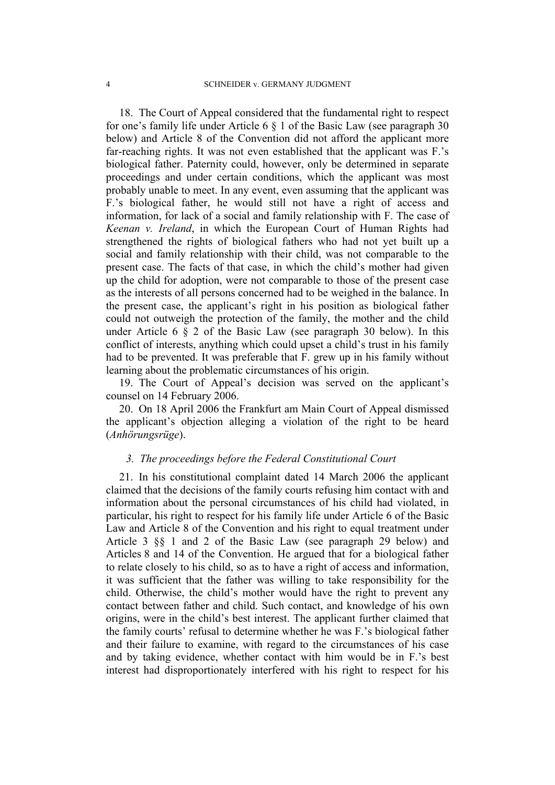18. The Court of Appeal considered that the fundamental right to respect for one's family life under Article 6 § 1 of the Basic Law (see paragraph 30 below) and Article 8 of the Convention did not afford the applicant more far-reaching rights. It was not even established that the applicant was F.'s biological father. Paternity could, however, only be determined in separate proceedings and under certain conditions, which the applicant was most probably unable to meet. In any event, even assuming that the applicant was F.'s biological father, he would still not have a right of access and information, for lack of a social and family relationship with F. The case of *Keenan v. Ireland*, in which the European Court of Human Rights had strengthened the rights of biological fathers who had not yet built up a social and family relationship with their child, was not comparable to the present case. The facts of that case, in which the child's mother had given up the child for adoption, were not comparable to those of the present case as the interests of all persons concerned had to be weighed in the balance. In the present case, the applicant's right in his position as biological father could not outweigh the protection of the family, the mother and the child under Article 6 § 2 of the Basic Law (see paragraph 30 below). In this conflict of interests, anything which could upset a child's trust in his family had to be prevented. It was preferable that F. grew up in his family without learning about the problematic circumstances of his origin.

19. The Court of Appeal's decision was served on the applicant's counsel on 14 February 2006.

20. On 18 April 2006 the Frankfurt am Main Court of Appeal dismissed the applicant's objection alleging a violation of the right to be heard (*Anhörungsrüge*).

## *3. The proceedings before the Federal Constitutional Court*

21. In his constitutional complaint dated 14 March 2006 the applicant claimed that the decisions of the family courts refusing him contact with and information about the personal circumstances of his child had violated, in particular, his right to respect for his family life under Article 6 of the Basic Law and Article 8 of the Convention and his right to equal treatment under Article 3 §§ 1 and 2 of the Basic Law (see paragraph 29 below) and Articles 8 and 14 of the Convention. He argued that for a biological father to relate closely to his child, so as to have a right of access and information, it was sufficient that the father was willing to take responsibility for the child. Otherwise, the child's mother would have the right to prevent any contact between father and child. Such contact, and knowledge of his own origins, were in the child's best interest. The applicant further claimed that the family courts' refusal to determine whether he was F.'s biological father and their failure to examine, with regard to the circumstances of his case and by taking evidence, whether contact with him would be in F.'s best interest had disproportionately interfered with his right to respect for his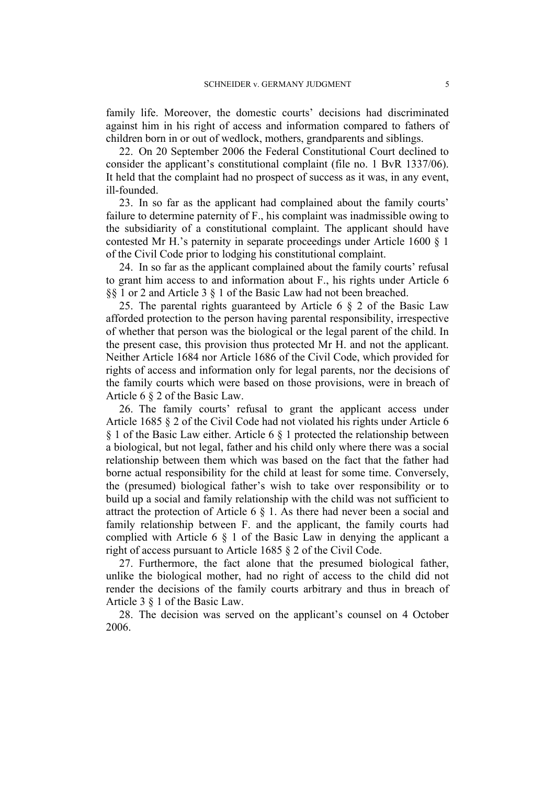family life. Moreover, the domestic courts' decisions had discriminated against him in his right of access and information compared to fathers of children born in or out of wedlock, mothers, grandparents and siblings.

22. On 20 September 2006 the Federal Constitutional Court declined to consider the applicant's constitutional complaint (file no. 1 BvR 1337/06). It held that the complaint had no prospect of success as it was, in any event, ill-founded.

23. In so far as the applicant had complained about the family courts' failure to determine paternity of F., his complaint was inadmissible owing to the subsidiarity of a constitutional complaint. The applicant should have contested Mr H.'s paternity in separate proceedings under Article 1600 § 1 of the Civil Code prior to lodging his constitutional complaint.

24. In so far as the applicant complained about the family courts' refusal to grant him access to and information about F., his rights under Article 6 §§ 1 or 2 and Article 3 § 1 of the Basic Law had not been breached.

25. The parental rights guaranteed by Article 6 § 2 of the Basic Law afforded protection to the person having parental responsibility, irrespective of whether that person was the biological or the legal parent of the child. In the present case, this provision thus protected Mr H. and not the applicant. Neither Article 1684 nor Article 1686 of the Civil Code, which provided for rights of access and information only for legal parents, nor the decisions of the family courts which were based on those provisions, were in breach of Article 6 § 2 of the Basic Law.

26. The family courts' refusal to grant the applicant access under Article 1685 § 2 of the Civil Code had not violated his rights under Article 6 § 1 of the Basic Law either. Article 6 § 1 protected the relationship between a biological, but not legal, father and his child only where there was a social relationship between them which was based on the fact that the father had borne actual responsibility for the child at least for some time. Conversely, the (presumed) biological father's wish to take over responsibility or to build up a social and family relationship with the child was not sufficient to attract the protection of Article 6 § 1. As there had never been a social and family relationship between F. and the applicant, the family courts had complied with Article 6 § 1 of the Basic Law in denying the applicant a right of access pursuant to Article 1685 § 2 of the Civil Code.

27. Furthermore, the fact alone that the presumed biological father, unlike the biological mother, had no right of access to the child did not render the decisions of the family courts arbitrary and thus in breach of Article 3 § 1 of the Basic Law.

28. The decision was served on the applicant's counsel on 4 October 2006.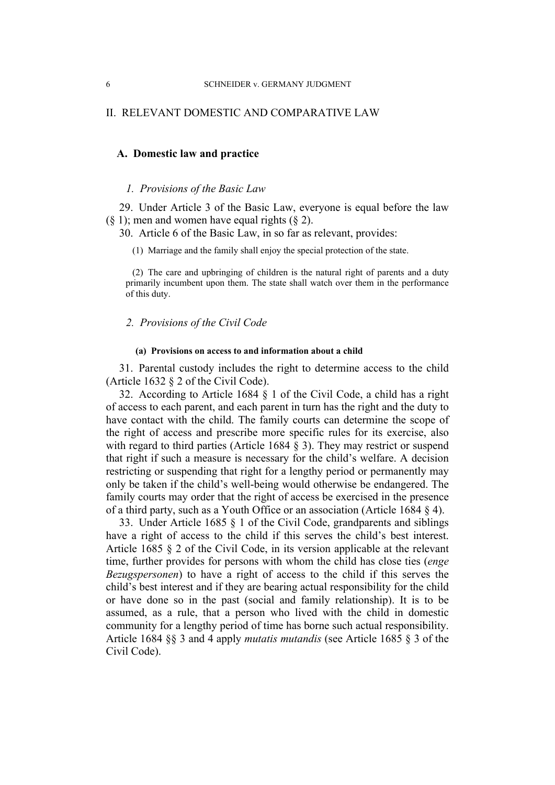## II. RELEVANT DOMESTIC AND COMPARATIVE LAW

## **A. Domestic law and practice**

#### *1. Provisions of the Basic Law*

29. Under Article 3 of the Basic Law, everyone is equal before the law  $(8\ 1)$ ; men and women have equal rights  $(8\ 2)$ .

30. Article 6 of the Basic Law, in so far as relevant, provides:

(1) Marriage and the family shall enjoy the special protection of the state.

(2) The care and upbringing of children is the natural right of parents and a duty primarily incumbent upon them. The state shall watch over them in the performance of this duty.

## *2. Provisions of the Civil Code*

#### **(a) Provisions on access to and information about a child**

31. Parental custody includes the right to determine access to the child (Article 1632 § 2 of the Civil Code).

32. According to Article 1684 § 1 of the Civil Code, a child has a right of access to each parent, and each parent in turn has the right and the duty to have contact with the child. The family courts can determine the scope of the right of access and prescribe more specific rules for its exercise, also with regard to third parties (Article 1684 § 3). They may restrict or suspend that right if such a measure is necessary for the child's welfare. A decision restricting or suspending that right for a lengthy period or permanently may only be taken if the child's well-being would otherwise be endangered. The family courts may order that the right of access be exercised in the presence of a third party, such as a Youth Office or an association (Article 1684 § 4).

33. Under Article 1685 § 1 of the Civil Code, grandparents and siblings have a right of access to the child if this serves the child's best interest. Article 1685 § 2 of the Civil Code, in its version applicable at the relevant time, further provides for persons with whom the child has close ties (*enge Bezugspersonen*) to have a right of access to the child if this serves the child's best interest and if they are bearing actual responsibility for the child or have done so in the past (social and family relationship). It is to be assumed, as a rule, that a person who lived with the child in domestic community for a lengthy period of time has borne such actual responsibility. Article 1684 §§ 3 and 4 apply *mutatis mutandis* (see Article 1685 § 3 of the Civil Code).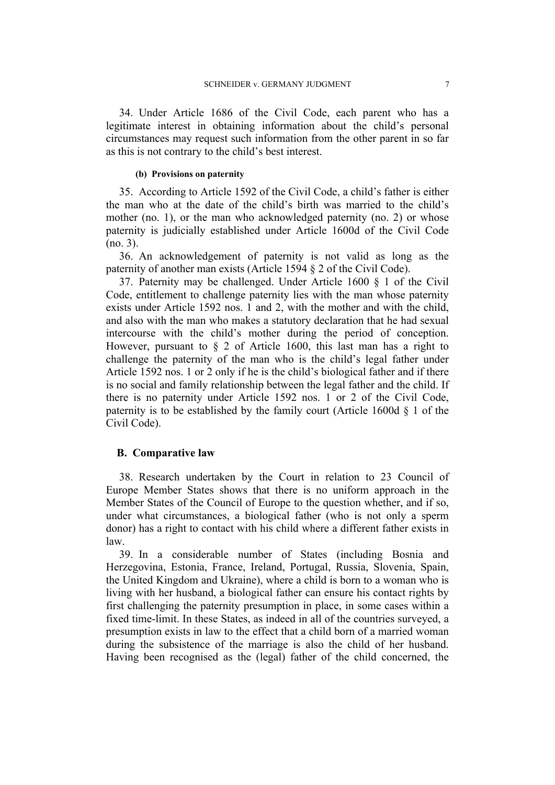34. Under Article 1686 of the Civil Code, each parent who has a legitimate interest in obtaining information about the child's personal circumstances may request such information from the other parent in so far as this is not contrary to the child's best interest.

#### **(b) Provisions on paternity**

35. According to Article 1592 of the Civil Code, a child's father is either the man who at the date of the child's birth was married to the child's mother (no. 1), or the man who acknowledged paternity (no. 2) or whose paternity is judicially established under Article 1600d of the Civil Code (no. 3).

36. An acknowledgement of paternity is not valid as long as the paternity of another man exists (Article 1594 § 2 of the Civil Code).

37. Paternity may be challenged. Under Article 1600 § 1 of the Civil Code, entitlement to challenge paternity lies with the man whose paternity exists under Article 1592 nos. 1 and 2, with the mother and with the child, and also with the man who makes a statutory declaration that he had sexual intercourse with the child's mother during the period of conception. However, pursuant to  $\S$  2 of Article 1600, this last man has a right to challenge the paternity of the man who is the child's legal father under Article 1592 nos. 1 or 2 only if he is the child's biological father and if there is no social and family relationship between the legal father and the child. If there is no paternity under Article 1592 nos. 1 or 2 of the Civil Code, paternity is to be established by the family court (Article 1600d  $\S$  1 of the Civil Code).

### **B. Comparative law**

38. Research undertaken by the Court in relation to 23 Council of Europe Member States shows that there is no uniform approach in the Member States of the Council of Europe to the question whether, and if so, under what circumstances, a biological father (who is not only a sperm donor) has a right to contact with his child where a different father exists in law.

39. In a considerable number of States (including Bosnia and Herzegovina, Estonia, France, Ireland, Portugal, Russia, Slovenia, Spain, the United Kingdom and Ukraine), where a child is born to a woman who is living with her husband, a biological father can ensure his contact rights by first challenging the paternity presumption in place, in some cases within a fixed time-limit. In these States, as indeed in all of the countries surveyed, a presumption exists in law to the effect that a child born of a married woman during the subsistence of the marriage is also the child of her husband. Having been recognised as the (legal) father of the child concerned, the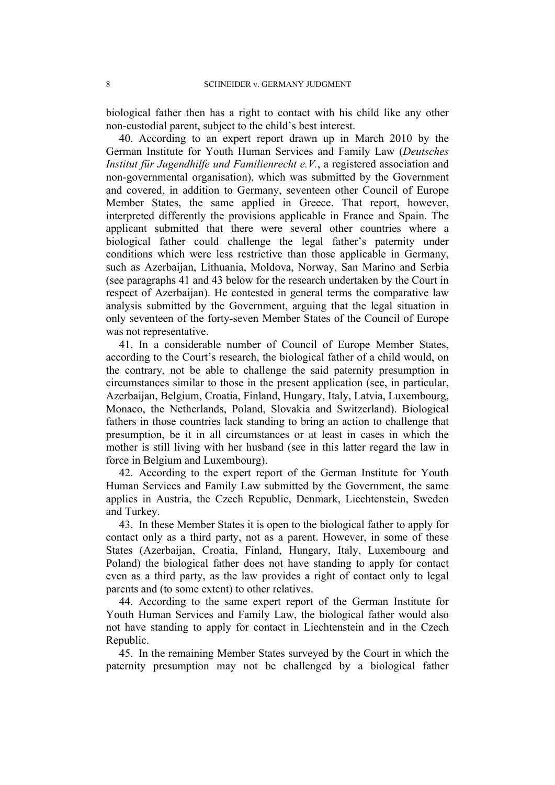biological father then has a right to contact with his child like any other non-custodial parent, subject to the child's best interest.

40. According to an expert report drawn up in March 2010 by the German Institute for Youth Human Services and Family Law (*Deutsches Institut für Jugendhilfe und Familienrecht e.V.*, a registered association and non-governmental organisation), which was submitted by the Government and covered, in addition to Germany, seventeen other Council of Europe Member States, the same applied in Greece. That report, however, interpreted differently the provisions applicable in France and Spain. The applicant submitted that there were several other countries where a biological father could challenge the legal father's paternity under conditions which were less restrictive than those applicable in Germany, such as Azerbaijan, Lithuania, Moldova, Norway, San Marino and Serbia (see paragraphs 41 and 43 below for the research undertaken by the Court in respect of Azerbaijan). He contested in general terms the comparative law analysis submitted by the Government, arguing that the legal situation in only seventeen of the forty-seven Member States of the Council of Europe was not representative.

41. In a considerable number of Council of Europe Member States, according to the Court's research, the biological father of a child would, on the contrary, not be able to challenge the said paternity presumption in circumstances similar to those in the present application (see, in particular, Azerbaijan, Belgium, Croatia, Finland, Hungary, Italy, Latvia, Luxembourg, Monaco, the Netherlands, Poland, Slovakia and Switzerland). Biological fathers in those countries lack standing to bring an action to challenge that presumption, be it in all circumstances or at least in cases in which the mother is still living with her husband (see in this latter regard the law in force in Belgium and Luxembourg).

42. According to the expert report of the German Institute for Youth Human Services and Family Law submitted by the Government, the same applies in Austria, the Czech Republic, Denmark, Liechtenstein, Sweden and Turkey.

43. In these Member States it is open to the biological father to apply for contact only as a third party, not as a parent. However, in some of these States (Azerbaijan, Croatia, Finland, Hungary, Italy, Luxembourg and Poland) the biological father does not have standing to apply for contact even as a third party, as the law provides a right of contact only to legal parents and (to some extent) to other relatives.

44. According to the same expert report of the German Institute for Youth Human Services and Family Law, the biological father would also not have standing to apply for contact in Liechtenstein and in the Czech Republic.

45. In the remaining Member States surveyed by the Court in which the paternity presumption may not be challenged by a biological father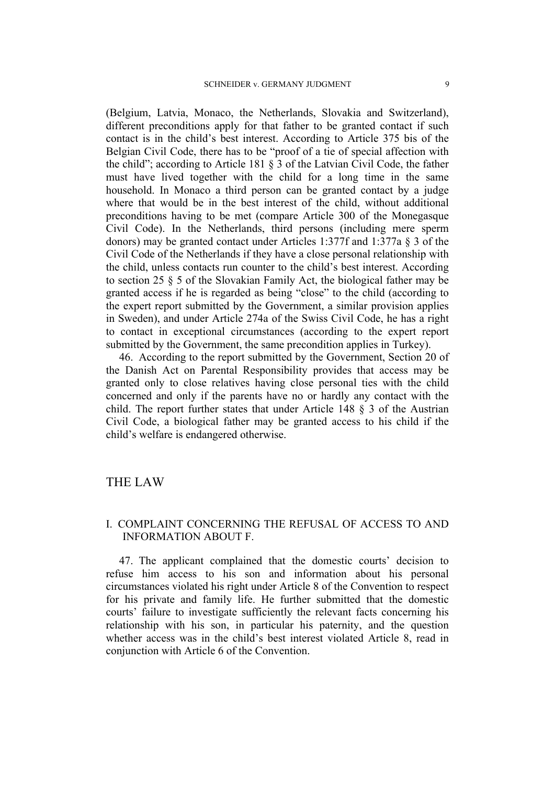(Belgium, Latvia, Monaco, the Netherlands, Slovakia and Switzerland), different preconditions apply for that father to be granted contact if such contact is in the child's best interest. According to Article 375 bis of the Belgian Civil Code, there has to be "proof of a tie of special affection with the child"; according to Article 181 § 3 of the Latvian Civil Code, the father must have lived together with the child for a long time in the same household. In Monaco a third person can be granted contact by a judge where that would be in the best interest of the child, without additional preconditions having to be met (compare Article 300 of the Monegasque Civil Code). In the Netherlands, third persons (including mere sperm donors) may be granted contact under Articles 1:377f and 1:377a § 3 of the Civil Code of the Netherlands if they have a close personal relationship with the child, unless contacts run counter to the child's best interest. According to section 25 § 5 of the Slovakian Family Act, the biological father may be granted access if he is regarded as being "close" to the child (according to the expert report submitted by the Government, a similar provision applies in Sweden), and under Article 274a of the Swiss Civil Code, he has a right to contact in exceptional circumstances (according to the expert report submitted by the Government, the same precondition applies in Turkey).

46. According to the report submitted by the Government, Section 20 of the Danish Act on Parental Responsibility provides that access may be granted only to close relatives having close personal ties with the child concerned and only if the parents have no or hardly any contact with the child. The report further states that under Article 148 § 3 of the Austrian Civil Code, a biological father may be granted access to his child if the child's welfare is endangered otherwise.

## THE LAW

## I. COMPLAINT CONCERNING THE REFUSAL OF ACCESS TO AND INFORMATION ABOUT F.

47. The applicant complained that the domestic courts' decision to refuse him access to his son and information about his personal circumstances violated his right under Article 8 of the Convention to respect for his private and family life. He further submitted that the domestic courts' failure to investigate sufficiently the relevant facts concerning his relationship with his son, in particular his paternity, and the question whether access was in the child's best interest violated Article 8, read in conjunction with Article 6 of the Convention.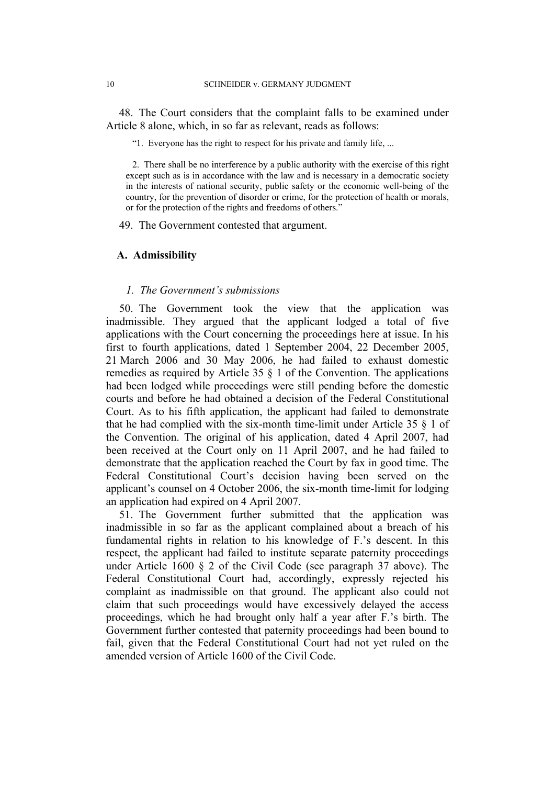48. The Court considers that the complaint falls to be examined under Article 8 alone, which, in so far as relevant, reads as follows:

"1. Everyone has the right to respect for his private and family life, ...

2. There shall be no interference by a public authority with the exercise of this right except such as is in accordance with the law and is necessary in a democratic society in the interests of national security, public safety or the economic well-being of the country, for the prevention of disorder or crime, for the protection of health or morals, or for the protection of the rights and freedoms of others."

49. The Government contested that argument.

## **A. Admissibility**

#### *1. The Government's submissions*

50. The Government took the view that the application was inadmissible. They argued that the applicant lodged a total of five applications with the Court concerning the proceedings here at issue. In his first to fourth applications, dated 1 September 2004, 22 December 2005, 21 March 2006 and 30 May 2006, he had failed to exhaust domestic remedies as required by Article 35 § 1 of the Convention. The applications had been lodged while proceedings were still pending before the domestic courts and before he had obtained a decision of the Federal Constitutional Court. As to his fifth application, the applicant had failed to demonstrate that he had complied with the six-month time-limit under Article 35 § 1 of the Convention. The original of his application, dated 4 April 2007, had been received at the Court only on 11 April 2007, and he had failed to demonstrate that the application reached the Court by fax in good time. The Federal Constitutional Court's decision having been served on the applicant's counsel on 4 October 2006, the six-month time-limit for lodging an application had expired on 4 April 2007.

51. The Government further submitted that the application was inadmissible in so far as the applicant complained about a breach of his fundamental rights in relation to his knowledge of F.'s descent. In this respect, the applicant had failed to institute separate paternity proceedings under Article 1600 § 2 of the Civil Code (see paragraph 37 above). The Federal Constitutional Court had, accordingly, expressly rejected his complaint as inadmissible on that ground. The applicant also could not claim that such proceedings would have excessively delayed the access proceedings, which he had brought only half a year after F.'s birth. The Government further contested that paternity proceedings had been bound to fail, given that the Federal Constitutional Court had not yet ruled on the amended version of Article 1600 of the Civil Code.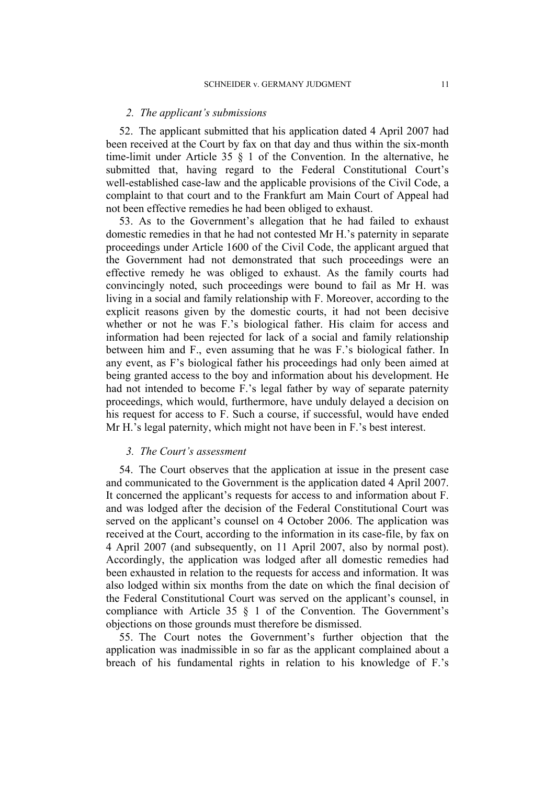### *2. The applicant's submissions*

52. The applicant submitted that his application dated 4 April 2007 had been received at the Court by fax on that day and thus within the six-month time-limit under Article 35 § 1 of the Convention. In the alternative, he submitted that, having regard to the Federal Constitutional Court's well-established case-law and the applicable provisions of the Civil Code, a complaint to that court and to the Frankfurt am Main Court of Appeal had not been effective remedies he had been obliged to exhaust.

53. As to the Government's allegation that he had failed to exhaust domestic remedies in that he had not contested Mr H.'s paternity in separate proceedings under Article 1600 of the Civil Code, the applicant argued that the Government had not demonstrated that such proceedings were an effective remedy he was obliged to exhaust. As the family courts had convincingly noted, such proceedings were bound to fail as Mr H. was living in a social and family relationship with F. Moreover, according to the explicit reasons given by the domestic courts, it had not been decisive whether or not he was F.'s biological father. His claim for access and information had been rejected for lack of a social and family relationship between him and F., even assuming that he was F.'s biological father. In any event, as F's biological father his proceedings had only been aimed at being granted access to the boy and information about his development. He had not intended to become F.'s legal father by way of separate paternity proceedings, which would, furthermore, have unduly delayed a decision on his request for access to F. Such a course, if successful, would have ended Mr H.'s legal paternity, which might not have been in F.'s best interest.

## *3. The Court's assessment*

54. The Court observes that the application at issue in the present case and communicated to the Government is the application dated 4 April 2007. It concerned the applicant's requests for access to and information about F. and was lodged after the decision of the Federal Constitutional Court was served on the applicant's counsel on 4 October 2006. The application was received at the Court, according to the information in its case-file, by fax on 4 April 2007 (and subsequently, on 11 April 2007, also by normal post). Accordingly, the application was lodged after all domestic remedies had been exhausted in relation to the requests for access and information. It was also lodged within six months from the date on which the final decision of the Federal Constitutional Court was served on the applicant's counsel, in compliance with Article 35 § 1 of the Convention. The Government's objections on those grounds must therefore be dismissed.

55. The Court notes the Government's further objection that the application was inadmissible in so far as the applicant complained about a breach of his fundamental rights in relation to his knowledge of F.'s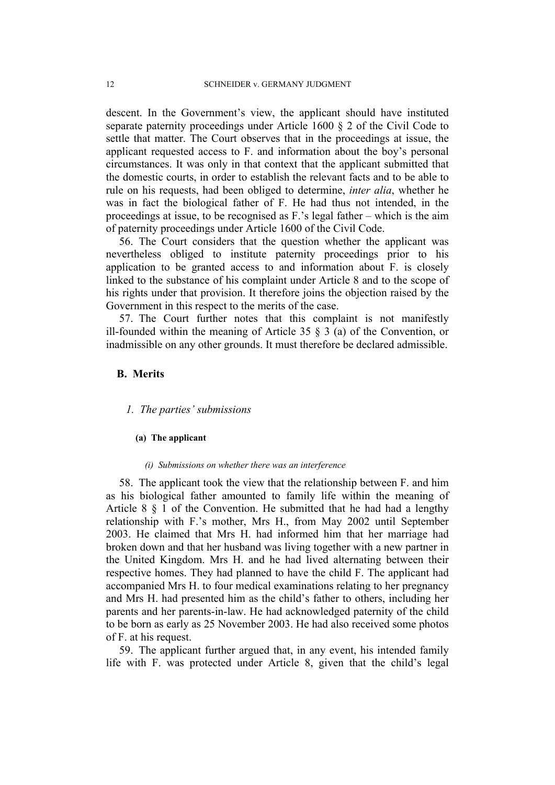descent. In the Government's view, the applicant should have instituted separate paternity proceedings under Article 1600 § 2 of the Civil Code to settle that matter. The Court observes that in the proceedings at issue, the applicant requested access to F. and information about the boy's personal circumstances. It was only in that context that the applicant submitted that the domestic courts, in order to establish the relevant facts and to be able to rule on his requests, had been obliged to determine, *inter alia*, whether he was in fact the biological father of F. He had thus not intended, in the proceedings at issue, to be recognised as F.'s legal father – which is the aim of paternity proceedings under Article 1600 of the Civil Code.

56. The Court considers that the question whether the applicant was nevertheless obliged to institute paternity proceedings prior to his application to be granted access to and information about F. is closely linked to the substance of his complaint under Article 8 and to the scope of his rights under that provision. It therefore joins the objection raised by the Government in this respect to the merits of the case.

57. The Court further notes that this complaint is not manifestly ill-founded within the meaning of Article 35  $\S$  3 (a) of the Convention, or inadmissible on any other grounds. It must therefore be declared admissible.

## **B. Merits**

#### *1. The parties' submissions*

#### **(a) The applicant**

#### *(i) Submissions on whether there was an interference*

58. The applicant took the view that the relationship between F. and him as his biological father amounted to family life within the meaning of Article 8 § 1 of the Convention. He submitted that he had had a lengthy relationship with F.'s mother, Mrs H., from May 2002 until September 2003. He claimed that Mrs H. had informed him that her marriage had broken down and that her husband was living together with a new partner in the United Kingdom. Mrs H. and he had lived alternating between their respective homes. They had planned to have the child F. The applicant had accompanied Mrs H. to four medical examinations relating to her pregnancy and Mrs H. had presented him as the child's father to others, including her parents and her parents-in-law. He had acknowledged paternity of the child to be born as early as 25 November 2003. He had also received some photos of F. at his request.

59. The applicant further argued that, in any event, his intended family life with F. was protected under Article 8, given that the child's legal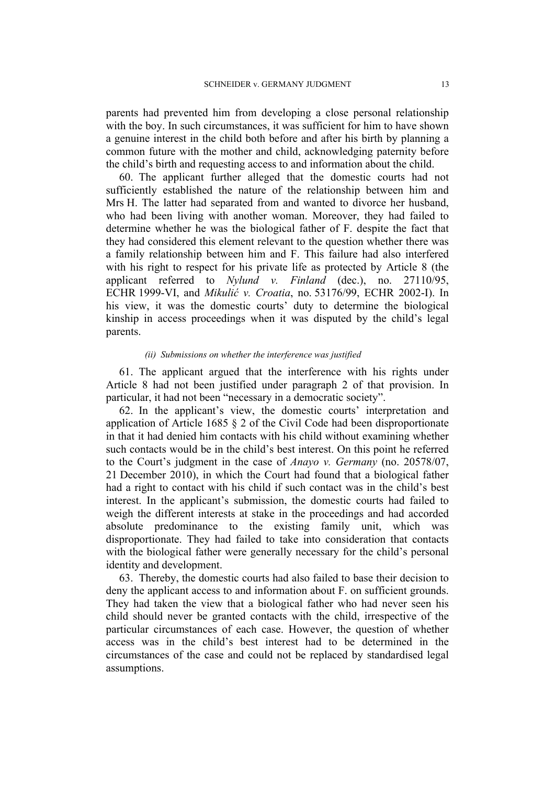parents had prevented him from developing a close personal relationship with the boy. In such circumstances, it was sufficient for him to have shown a genuine interest in the child both before and after his birth by planning a common future with the mother and child, acknowledging paternity before the child's birth and requesting access to and information about the child.

60. The applicant further alleged that the domestic courts had not sufficiently established the nature of the relationship between him and Mrs H. The latter had separated from and wanted to divorce her husband, who had been living with another woman. Moreover, they had failed to determine whether he was the biological father of F. despite the fact that they had considered this element relevant to the question whether there was a family relationship between him and F. This failure had also interfered with his right to respect for his private life as protected by Article 8 (the applicant referred to *Nylund v. Finland* (dec.), no. 27110/95, ECHR 1999-VI, and *Mikulić v. Croatia*, no. 53176/99, ECHR 2002-I). In his view, it was the domestic courts' duty to determine the biological kinship in access proceedings when it was disputed by the child's legal parents.

### *(ii) Submissions on whether the interference was justified*

61. The applicant argued that the interference with his rights under Article 8 had not been justified under paragraph 2 of that provision. In particular, it had not been "necessary in a democratic society".

62. In the applicant's view, the domestic courts' interpretation and application of Article 1685 § 2 of the Civil Code had been disproportionate in that it had denied him contacts with his child without examining whether such contacts would be in the child's best interest. On this point he referred to the Court's judgment in the case of *Anayo v. Germany* (no. 20578/07, 21 December 2010), in which the Court had found that a biological father had a right to contact with his child if such contact was in the child's best interest. In the applicant's submission, the domestic courts had failed to weigh the different interests at stake in the proceedings and had accorded absolute predominance to the existing family unit, which was disproportionate. They had failed to take into consideration that contacts with the biological father were generally necessary for the child's personal identity and development.

63. Thereby, the domestic courts had also failed to base their decision to deny the applicant access to and information about F. on sufficient grounds. They had taken the view that a biological father who had never seen his child should never be granted contacts with the child, irrespective of the particular circumstances of each case. However, the question of whether access was in the child's best interest had to be determined in the circumstances of the case and could not be replaced by standardised legal assumptions.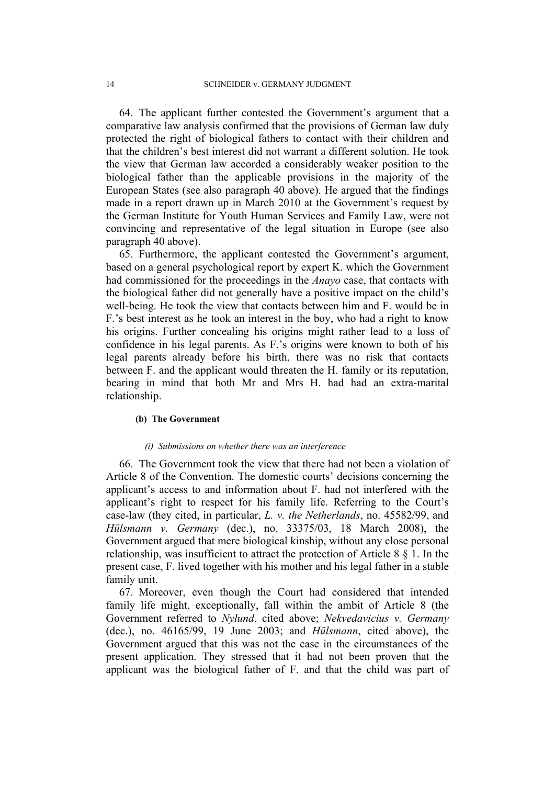64. The applicant further contested the Government's argument that a comparative law analysis confirmed that the provisions of German law duly protected the right of biological fathers to contact with their children and that the children's best interest did not warrant a different solution. He took the view that German law accorded a considerably weaker position to the biological father than the applicable provisions in the majority of the European States (see also paragraph 40 above). He argued that the findings made in a report drawn up in March 2010 at the Government's request by the German Institute for Youth Human Services and Family Law, were not convincing and representative of the legal situation in Europe (see also paragraph 40 above).

65. Furthermore, the applicant contested the Government's argument, based on a general psychological report by expert K. which the Government had commissioned for the proceedings in the *Anayo* case, that contacts with the biological father did not generally have a positive impact on the child's well-being. He took the view that contacts between him and F. would be in F.'s best interest as he took an interest in the boy, who had a right to know his origins. Further concealing his origins might rather lead to a loss of confidence in his legal parents. As F.'s origins were known to both of his legal parents already before his birth, there was no risk that contacts between F. and the applicant would threaten the H. family or its reputation, bearing in mind that both Mr and Mrs H. had had an extra-marital relationship.

#### **(b) The Government**

#### *(i) Submissions on whether there was an interference*

66. The Government took the view that there had not been a violation of Article 8 of the Convention. The domestic courts' decisions concerning the applicant's access to and information about F. had not interfered with the applicant's right to respect for his family life. Referring to the Court's case-law (they cited, in particular, *L. v. the Netherlands*, no. 45582/99, and *Hülsmann v. Germany* (dec.), no. 33375/03, 18 March 2008), the Government argued that mere biological kinship, without any close personal relationship, was insufficient to attract the protection of Article 8  $\S$  1. In the present case, F. lived together with his mother and his legal father in a stable family unit.

67. Moreover, even though the Court had considered that intended family life might, exceptionally, fall within the ambit of Article 8 (the Government referred to *Nylund*, cited above; *Nekvedavicius v. Germany* (dec.), no. 46165/99, 19 June 2003; and *Hülsmann*, cited above), the Government argued that this was not the case in the circumstances of the present application. They stressed that it had not been proven that the applicant was the biological father of F. and that the child was part of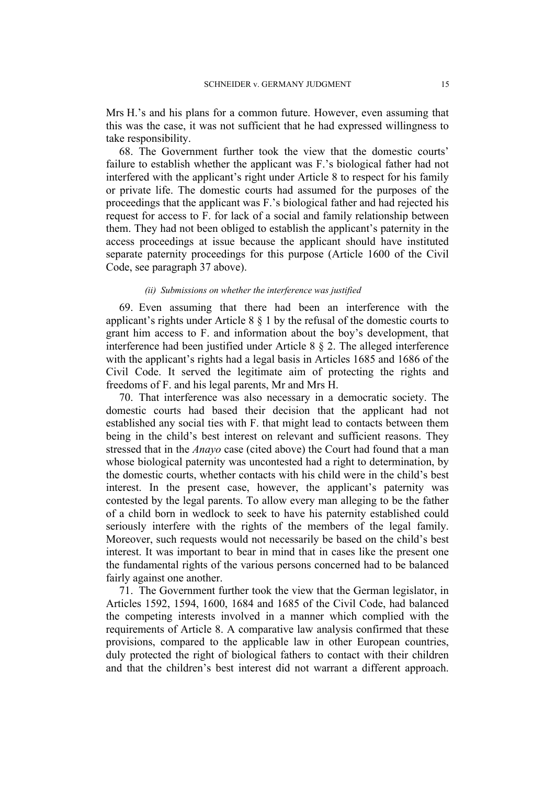Mrs H.'s and his plans for a common future. However, even assuming that this was the case, it was not sufficient that he had expressed willingness to take responsibility.

68. The Government further took the view that the domestic courts' failure to establish whether the applicant was F.'s biological father had not interfered with the applicant's right under Article 8 to respect for his family or private life. The domestic courts had assumed for the purposes of the proceedings that the applicant was F.'s biological father and had rejected his request for access to F. for lack of a social and family relationship between them. They had not been obliged to establish the applicant's paternity in the access proceedings at issue because the applicant should have instituted separate paternity proceedings for this purpose (Article 1600 of the Civil Code, see paragraph 37 above).

#### *(ii) Submissions on whether the interference was justified*

69. Even assuming that there had been an interference with the applicant's rights under Article 8 § 1 by the refusal of the domestic courts to grant him access to F. and information about the boy's development, that interference had been justified under Article 8 § 2. The alleged interference with the applicant's rights had a legal basis in Articles 1685 and 1686 of the Civil Code. It served the legitimate aim of protecting the rights and freedoms of F. and his legal parents, Mr and Mrs H.

70. That interference was also necessary in a democratic society. The domestic courts had based their decision that the applicant had not established any social ties with F. that might lead to contacts between them being in the child's best interest on relevant and sufficient reasons. They stressed that in the *Anayo* case (cited above) the Court had found that a man whose biological paternity was uncontested had a right to determination, by the domestic courts, whether contacts with his child were in the child's best interest. In the present case, however, the applicant's paternity was contested by the legal parents. To allow every man alleging to be the father of a child born in wedlock to seek to have his paternity established could seriously interfere with the rights of the members of the legal family. Moreover, such requests would not necessarily be based on the child's best interest. It was important to bear in mind that in cases like the present one the fundamental rights of the various persons concerned had to be balanced fairly against one another.

71. The Government further took the view that the German legislator, in Articles 1592, 1594, 1600, 1684 and 1685 of the Civil Code, had balanced the competing interests involved in a manner which complied with the requirements of Article 8. A comparative law analysis confirmed that these provisions, compared to the applicable law in other European countries, duly protected the right of biological fathers to contact with their children and that the children's best interest did not warrant a different approach.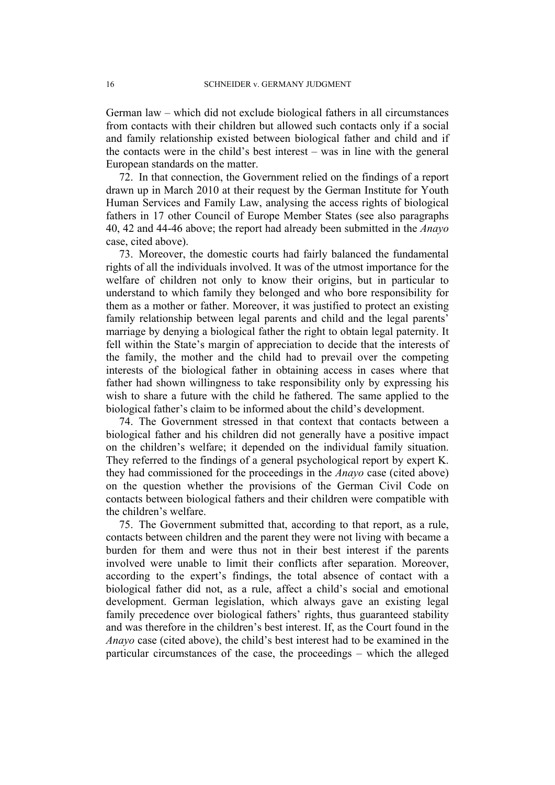German law – which did not exclude biological fathers in all circumstances from contacts with their children but allowed such contacts only if a social and family relationship existed between biological father and child and if the contacts were in the child's best interest – was in line with the general European standards on the matter.

72. In that connection, the Government relied on the findings of a report drawn up in March 2010 at their request by the German Institute for Youth Human Services and Family Law, analysing the access rights of biological fathers in 17 other Council of Europe Member States (see also paragraphs 40, 42 and 44-46 above; the report had already been submitted in the *Anayo*  case, cited above).

73. Moreover, the domestic courts had fairly balanced the fundamental rights of all the individuals involved. It was of the utmost importance for the welfare of children not only to know their origins, but in particular to understand to which family they belonged and who bore responsibility for them as a mother or father. Moreover, it was justified to protect an existing family relationship between legal parents and child and the legal parents' marriage by denying a biological father the right to obtain legal paternity. It fell within the State's margin of appreciation to decide that the interests of the family, the mother and the child had to prevail over the competing interests of the biological father in obtaining access in cases where that father had shown willingness to take responsibility only by expressing his wish to share a future with the child he fathered. The same applied to the biological father's claim to be informed about the child's development.

74. The Government stressed in that context that contacts between a biological father and his children did not generally have a positive impact on the children's welfare; it depended on the individual family situation. They referred to the findings of a general psychological report by expert K. they had commissioned for the proceedings in the *Anayo* case (cited above) on the question whether the provisions of the German Civil Code on contacts between biological fathers and their children were compatible with the children's welfare.

75. The Government submitted that, according to that report, as a rule, contacts between children and the parent they were not living with became a burden for them and were thus not in their best interest if the parents involved were unable to limit their conflicts after separation. Moreover, according to the expert's findings, the total absence of contact with a biological father did not, as a rule, affect a child's social and emotional development. German legislation, which always gave an existing legal family precedence over biological fathers' rights, thus guaranteed stability and was therefore in the children's best interest. If, as the Court found in the *Anayo* case (cited above), the child's best interest had to be examined in the particular circumstances of the case, the proceedings – which the alleged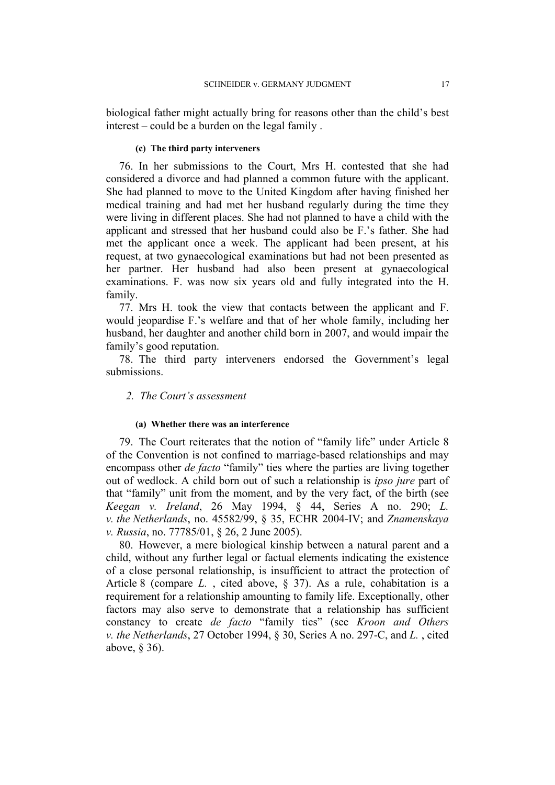biological father might actually bring for reasons other than the child's best interest – could be a burden on the legal family .

#### **(c) The third party interveners**

76. In her submissions to the Court, Mrs H. contested that she had considered a divorce and had planned a common future with the applicant. She had planned to move to the United Kingdom after having finished her medical training and had met her husband regularly during the time they were living in different places. She had not planned to have a child with the applicant and stressed that her husband could also be F.'s father. She had met the applicant once a week. The applicant had been present, at his request, at two gynaecological examinations but had not been presented as her partner. Her husband had also been present at gynaecological examinations. F. was now six years old and fully integrated into the H. family.

77. Mrs H. took the view that contacts between the applicant and F. would jeopardise F.'s welfare and that of her whole family, including her husband, her daughter and another child born in 2007, and would impair the family's good reputation.

78. The third party interveners endorsed the Government's legal submissions.

### *2. The Court's assessment*

#### **(a) Whether there was an interference**

79. The Court reiterates that the notion of "family life" under Article 8 of the Convention is not confined to marriage-based relationships and may encompass other *de facto* "family" ties where the parties are living together out of wedlock. A child born out of such a relationship is *ipso jure* part of that "family" unit from the moment, and by the very fact, of the birth (see *Keegan v. Ireland*, 26 May 1994, § 44, Series A no. 290; *L. v. the Netherlands*, no. 45582/99, § 35, ECHR 2004-IV; and *Znamenskaya v. Russia*, no. 77785/01, § 26, 2 June 2005).

80. However, a mere biological kinship between a natural parent and a child, without any further legal or factual elements indicating the existence of a close personal relationship, is insufficient to attract the protection of Article 8 (compare *L.* , cited above, § 37). As a rule, cohabitation is a requirement for a relationship amounting to family life. Exceptionally, other factors may also serve to demonstrate that a relationship has sufficient constancy to create *de facto* "family ties" (see *Kroon and Others v. the Netherlands*, 27 October 1994, § 30, Series A no. 297-C, and *L.* , cited above, § 36).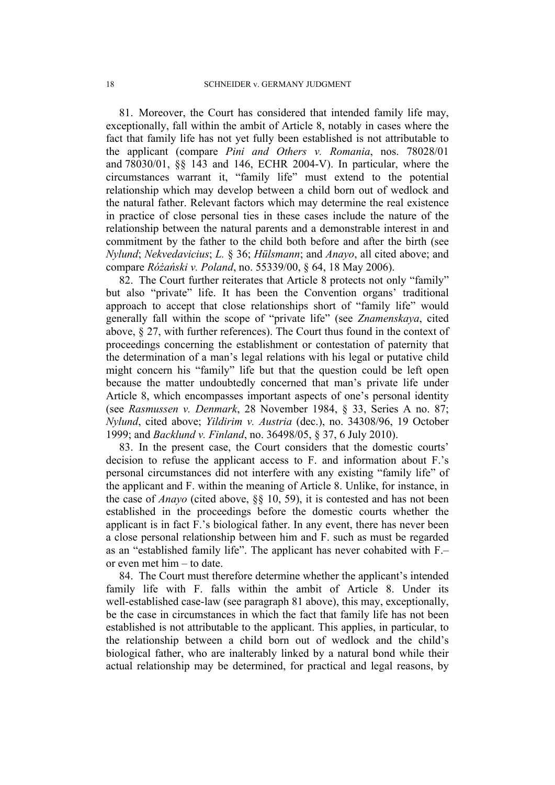81. Moreover, the Court has considered that intended family life may, exceptionally, fall within the ambit of Article 8, notably in cases where the fact that family life has not yet fully been established is not attributable to the applicant (compare *Pini and Others v. Romania*, nos. 78028/01 and 78030/01, §§ 143 and 146, ECHR 2004-V). In particular, where the circumstances warrant it, "family life" must extend to the potential relationship which may develop between a child born out of wedlock and the natural father. Relevant factors which may determine the real existence in practice of close personal ties in these cases include the nature of the relationship between the natural parents and a demonstrable interest in and commitment by the father to the child both before and after the birth (see *Nylund*; *Nekvedavicius*; *L.* § 36; *Hülsmann*; and *Anayo*, all cited above; and compare *Różański v. Poland*, no. 55339/00, § 64, 18 May 2006).

82. The Court further reiterates that Article 8 protects not only "family" but also "private" life. It has been the Convention organs' traditional approach to accept that close relationships short of "family life" would generally fall within the scope of "private life" (see *Znamenskaya*, cited above, § 27, with further references). The Court thus found in the context of proceedings concerning the establishment or contestation of paternity that the determination of a man's legal relations with his legal or putative child might concern his "family" life but that the question could be left open because the matter undoubtedly concerned that man's private life under Article 8, which encompasses important aspects of one's personal identity (see *Rasmussen v. Denmark*, 28 November 1984, § 33, Series A no. 87; *Nylund*, cited above; *Yildirim v. Austria* (dec.), no. 34308/96, 19 October 1999; and *Backlund v. Finland*, no. 36498/05, § 37, 6 July 2010).

83. In the present case, the Court considers that the domestic courts' decision to refuse the applicant access to F. and information about F.'s personal circumstances did not interfere with any existing "family life" of the applicant and F. within the meaning of Article 8. Unlike, for instance, in the case of *Anayo* (cited above, §§ 10, 59), it is contested and has not been established in the proceedings before the domestic courts whether the applicant is in fact F.'s biological father. In any event, there has never been a close personal relationship between him and F. such as must be regarded as an "established family life". The applicant has never cohabited with F.– or even met him – to date.

84. The Court must therefore determine whether the applicant's intended family life with F. falls within the ambit of Article 8. Under its well-established case-law (see paragraph 81 above), this may, exceptionally, be the case in circumstances in which the fact that family life has not been established is not attributable to the applicant. This applies, in particular, to the relationship between a child born out of wedlock and the child's biological father, who are inalterably linked by a natural bond while their actual relationship may be determined, for practical and legal reasons, by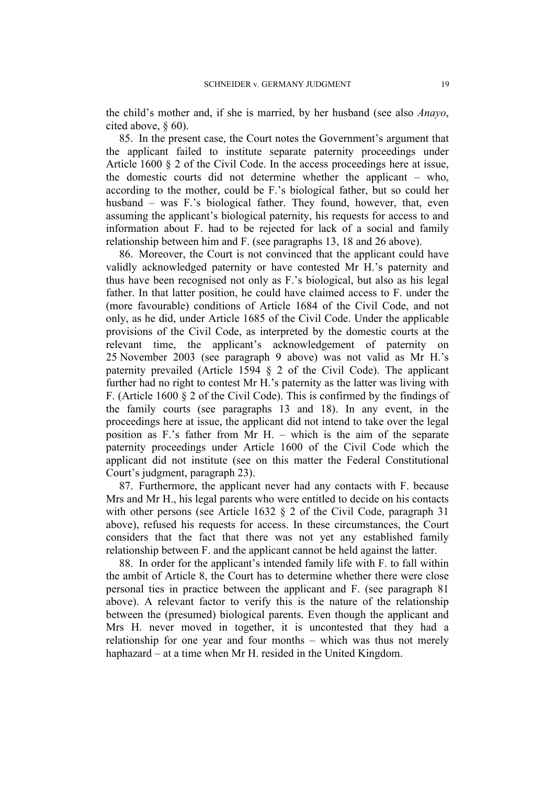the child's mother and, if she is married, by her husband (see also *Anayo*, cited above, § 60).

85. In the present case, the Court notes the Government's argument that the applicant failed to institute separate paternity proceedings under Article 1600 § 2 of the Civil Code. In the access proceedings here at issue, the domestic courts did not determine whether the applicant – who, according to the mother, could be F.'s biological father, but so could her husband – was F.'s biological father. They found, however, that, even assuming the applicant's biological paternity, his requests for access to and information about F. had to be rejected for lack of a social and family relationship between him and F. (see paragraphs 13, 18 and 26 above).

86. Moreover, the Court is not convinced that the applicant could have validly acknowledged paternity or have contested Mr H.'s paternity and thus have been recognised not only as F.'s biological, but also as his legal father. In that latter position, he could have claimed access to F. under the (more favourable) conditions of Article 1684 of the Civil Code, and not only, as he did, under Article 1685 of the Civil Code. Under the applicable provisions of the Civil Code, as interpreted by the domestic courts at the relevant time, the applicant's acknowledgement of paternity on 25 November 2003 (see paragraph 9 above) was not valid as Mr H.'s paternity prevailed (Article 1594 § 2 of the Civil Code). The applicant further had no right to contest Mr H.'s paternity as the latter was living with F. (Article 1600 § 2 of the Civil Code). This is confirmed by the findings of the family courts (see paragraphs 13 and 18). In any event, in the proceedings here at issue, the applicant did not intend to take over the legal position as F.'s father from Mr H. – which is the aim of the separate paternity proceedings under Article 1600 of the Civil Code which the applicant did not institute (see on this matter the Federal Constitutional Court's judgment, paragraph 23).

87. Furthermore, the applicant never had any contacts with F. because Mrs and Mr H., his legal parents who were entitled to decide on his contacts with other persons (see Article 1632 § 2 of the Civil Code, paragraph 31 above), refused his requests for access. In these circumstances, the Court considers that the fact that there was not yet any established family relationship between F. and the applicant cannot be held against the latter.

88. In order for the applicant's intended family life with F. to fall within the ambit of Article 8, the Court has to determine whether there were close personal ties in practice between the applicant and F. (see paragraph 81 above). A relevant factor to verify this is the nature of the relationship between the (presumed) biological parents. Even though the applicant and Mrs H. never moved in together, it is uncontested that they had a relationship for one year and four months – which was thus not merely haphazard – at a time when Mr H. resided in the United Kingdom.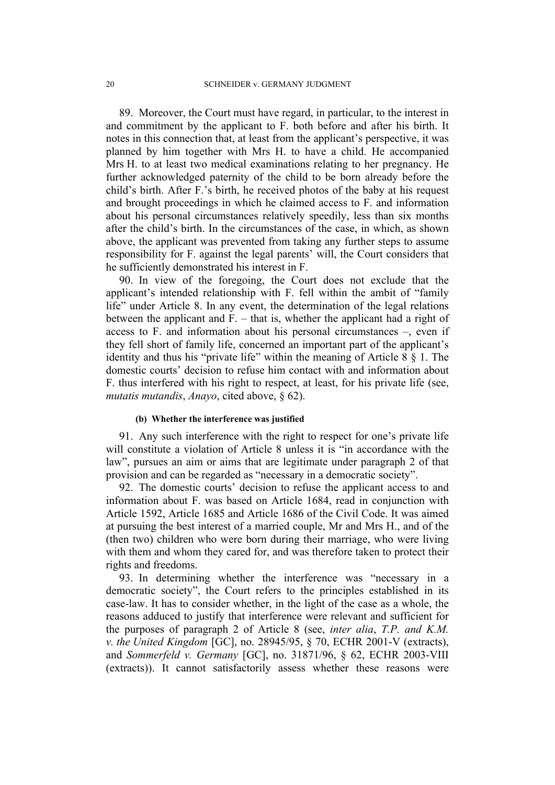89. Moreover, the Court must have regard, in particular, to the interest in and commitment by the applicant to F. both before and after his birth. It notes in this connection that, at least from the applicant's perspective, it was planned by him together with Mrs H. to have a child. He accompanied Mrs H. to at least two medical examinations relating to her pregnancy. He further acknowledged paternity of the child to be born already before the child's birth. After F.'s birth, he received photos of the baby at his request and brought proceedings in which he claimed access to F. and information about his personal circumstances relatively speedily, less than six months after the child's birth. In the circumstances of the case, in which, as shown above, the applicant was prevented from taking any further steps to assume responsibility for F. against the legal parents' will, the Court considers that he sufficiently demonstrated his interest in F.

90. In view of the foregoing, the Court does not exclude that the applicant's intended relationship with F. fell within the ambit of "family life" under Article 8. In any event, the determination of the legal relations between the applicant and F. – that is, whether the applicant had a right of access to F. and information about his personal circumstances –, even if they fell short of family life, concerned an important part of the applicant's identity and thus his "private life" within the meaning of Article  $8 \nless 1$ . The domestic courts' decision to refuse him contact with and information about F. thus interfered with his right to respect, at least, for his private life (see, *mutatis mutandis*, *Anayo*, cited above, § 62).

## **(b) Whether the interference was justified**

91. Any such interference with the right to respect for one's private life will constitute a violation of Article 8 unless it is "in accordance with the law", pursues an aim or aims that are legitimate under paragraph 2 of that provision and can be regarded as "necessary in a democratic society".

92. The domestic courts' decision to refuse the applicant access to and information about F. was based on Article 1684, read in conjunction with Article 1592, Article 1685 and Article 1686 of the Civil Code. It was aimed at pursuing the best interest of a married couple, Mr and Mrs H., and of the (then two) children who were born during their marriage, who were living with them and whom they cared for, and was therefore taken to protect their rights and freedoms.

93. In determining whether the interference was "necessary in a democratic society", the Court refers to the principles established in its case-law. It has to consider whether, in the light of the case as a whole, the reasons adduced to justify that interference were relevant and sufficient for the purposes of paragraph 2 of Article 8 (see, *inter alia*, *T.P. and K.M. v. the United Kingdom* [GC], no. 28945/95, § 70, ECHR 2001-V (extracts), and *Sommerfeld v. Germany* [GC], no. 31871/96, § 62, ECHR 2003-VIII (extracts)). It cannot satisfactorily assess whether these reasons were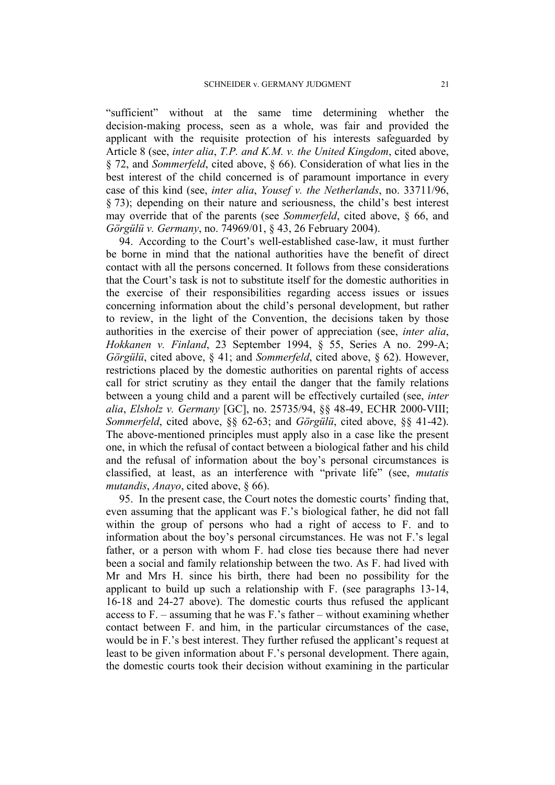"sufficient" without at the same time determining whether the decision-making process, seen as a whole, was fair and provided the applicant with the requisite protection of his interests safeguarded by Article 8 (see, *inter alia*, *T.P. and K.M. v. the United Kingdom*, cited above, § 72, and *Sommerfeld*, cited above, § 66). Consideration of what lies in the best interest of the child concerned is of paramount importance in every case of this kind (see, *inter alia*, *Yousef v. the Netherlands*, no. 33711/96, § 73); depending on their nature and seriousness, the child's best interest may override that of the parents (see *Sommerfeld*, cited above, § 66, and *Görgülü v. Germany*, no. 74969/01, § 43, 26 February 2004).

94. According to the Court's well-established case-law, it must further be borne in mind that the national authorities have the benefit of direct contact with all the persons concerned. It follows from these considerations that the Court's task is not to substitute itself for the domestic authorities in the exercise of their responsibilities regarding access issues or issues concerning information about the child's personal development, but rather to review, in the light of the Convention, the decisions taken by those authorities in the exercise of their power of appreciation (see, *inter alia*, *Hokkanen v. Finland*, 23 September 1994, § 55, Series A no. 299-A; *Görgülü*, cited above, § 41; and *Sommerfeld*, cited above, § 62). However, restrictions placed by the domestic authorities on parental rights of access call for strict scrutiny as they entail the danger that the family relations between a young child and a parent will be effectively curtailed (see, *inter alia*, *Elsholz v. Germany* [GC], no. 25735/94, §§ 48-49, ECHR 2000-VIII; *Sommerfeld*, cited above, §§ 62-63; and *Görgülü*, cited above, §§ 41-42). The above-mentioned principles must apply also in a case like the present one, in which the refusal of contact between a biological father and his child and the refusal of information about the boy's personal circumstances is classified, at least, as an interference with "private life" (see, *mutatis mutandis*, *Anayo*, cited above, § 66).

95. In the present case, the Court notes the domestic courts' finding that, even assuming that the applicant was F.'s biological father, he did not fall within the group of persons who had a right of access to F. and to information about the boy's personal circumstances. He was not F.'s legal father, or a person with whom F. had close ties because there had never been a social and family relationship between the two. As F. had lived with Mr and Mrs H. since his birth, there had been no possibility for the applicant to build up such a relationship with F. (see paragraphs 13-14, 16-18 and 24-27 above). The domestic courts thus refused the applicant access to F. – assuming that he was F.'s father – without examining whether contact between F. and him, in the particular circumstances of the case, would be in F.'s best interest. They further refused the applicant's request at least to be given information about F.'s personal development. There again, the domestic courts took their decision without examining in the particular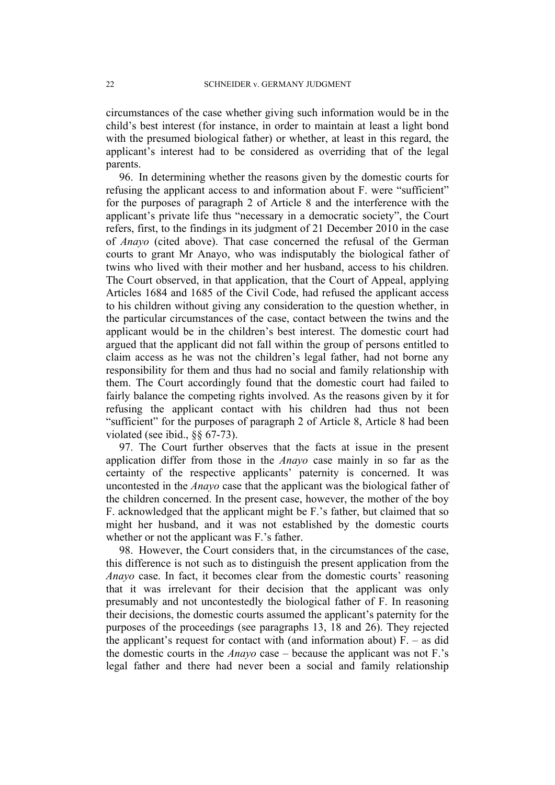circumstances of the case whether giving such information would be in the child's best interest (for instance, in order to maintain at least a light bond with the presumed biological father) or whether, at least in this regard, the applicant's interest had to be considered as overriding that of the legal parents.

96. In determining whether the reasons given by the domestic courts for refusing the applicant access to and information about F. were "sufficient" for the purposes of paragraph 2 of Article 8 and the interference with the applicant's private life thus "necessary in a democratic society", the Court refers, first, to the findings in its judgment of 21 December 2010 in the case of *Anayo* (cited above). That case concerned the refusal of the German courts to grant Mr Anayo, who was indisputably the biological father of twins who lived with their mother and her husband, access to his children. The Court observed, in that application, that the Court of Appeal, applying Articles 1684 and 1685 of the Civil Code, had refused the applicant access to his children without giving any consideration to the question whether, in the particular circumstances of the case, contact between the twins and the applicant would be in the children's best interest. The domestic court had argued that the applicant did not fall within the group of persons entitled to claim access as he was not the children's legal father, had not borne any responsibility for them and thus had no social and family relationship with them. The Court accordingly found that the domestic court had failed to fairly balance the competing rights involved. As the reasons given by it for refusing the applicant contact with his children had thus not been "sufficient" for the purposes of paragraph 2 of Article 8, Article 8 had been violated (see ibid., §§ 67-73).

97. The Court further observes that the facts at issue in the present application differ from those in the *Anayo* case mainly in so far as the certainty of the respective applicants' paternity is concerned. It was uncontested in the *Anayo* case that the applicant was the biological father of the children concerned. In the present case, however, the mother of the boy F. acknowledged that the applicant might be F.'s father, but claimed that so might her husband, and it was not established by the domestic courts whether or not the applicant was F.'s father.

98. However, the Court considers that, in the circumstances of the case, this difference is not such as to distinguish the present application from the *Anayo* case. In fact, it becomes clear from the domestic courts' reasoning that it was irrelevant for their decision that the applicant was only presumably and not uncontestedly the biological father of F. In reasoning their decisions, the domestic courts assumed the applicant's paternity for the purposes of the proceedings (see paragraphs 13, 18 and 26). They rejected the applicant's request for contact with (and information about)  $F = -aS$  did the domestic courts in the *Anayo* case – because the applicant was not F.'s legal father and there had never been a social and family relationship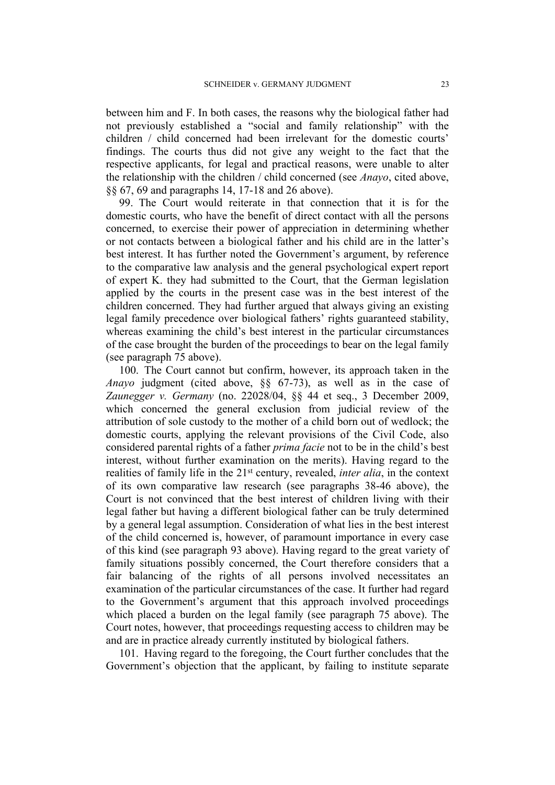between him and F. In both cases, the reasons why the biological father had not previously established a "social and family relationship" with the children / child concerned had been irrelevant for the domestic courts' findings. The courts thus did not give any weight to the fact that the respective applicants, for legal and practical reasons, were unable to alter the relationship with the children / child concerned (see *Anayo*, cited above, §§ 67, 69 and paragraphs 14, 17-18 and 26 above).

99. The Court would reiterate in that connection that it is for the domestic courts, who have the benefit of direct contact with all the persons concerned, to exercise their power of appreciation in determining whether or not contacts between a biological father and his child are in the latter's best interest. It has further noted the Government's argument, by reference to the comparative law analysis and the general psychological expert report of expert K. they had submitted to the Court, that the German legislation applied by the courts in the present case was in the best interest of the children concerned. They had further argued that always giving an existing legal family precedence over biological fathers' rights guaranteed stability, whereas examining the child's best interest in the particular circumstances of the case brought the burden of the proceedings to bear on the legal family (see paragraph 75 above).

100. The Court cannot but confirm, however, its approach taken in the *Anayo* judgment (cited above, §§ 67-73), as well as in the case of *Zaunegger v. Germany* (no. 22028/04, §§ 44 et seq., 3 December 2009, which concerned the general exclusion from judicial review of the attribution of sole custody to the mother of a child born out of wedlock; the domestic courts, applying the relevant provisions of the Civil Code, also considered parental rights of a father *prima facie* not to be in the child's best interest, without further examination on the merits). Having regard to the realities of family life in the 21st century, revealed, *inter alia*, in the context of its own comparative law research (see paragraphs 38-46 above), the Court is not convinced that the best interest of children living with their legal father but having a different biological father can be truly determined by a general legal assumption. Consideration of what lies in the best interest of the child concerned is, however, of paramount importance in every case of this kind (see paragraph 93 above). Having regard to the great variety of family situations possibly concerned, the Court therefore considers that a fair balancing of the rights of all persons involved necessitates an examination of the particular circumstances of the case. It further had regard to the Government's argument that this approach involved proceedings which placed a burden on the legal family (see paragraph 75 above). The Court notes, however, that proceedings requesting access to children may be and are in practice already currently instituted by biological fathers.

101. Having regard to the foregoing, the Court further concludes that the Government's objection that the applicant, by failing to institute separate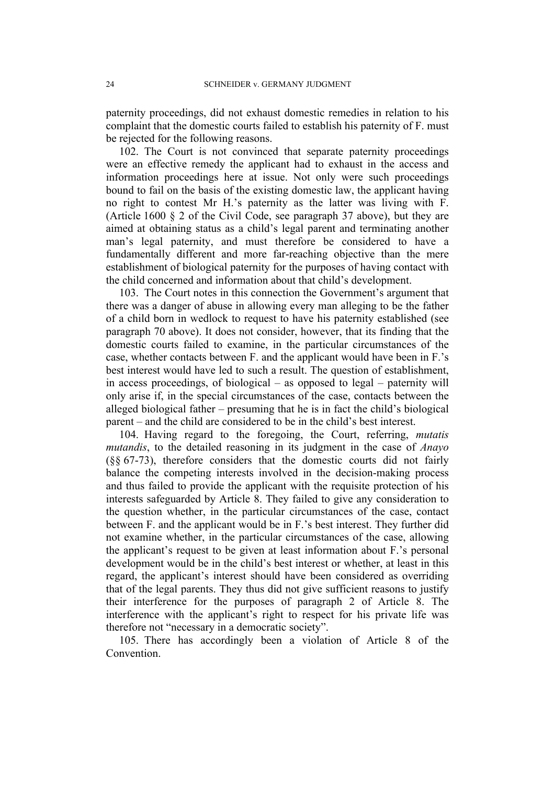paternity proceedings, did not exhaust domestic remedies in relation to his complaint that the domestic courts failed to establish his paternity of F. must be rejected for the following reasons.

102. The Court is not convinced that separate paternity proceedings were an effective remedy the applicant had to exhaust in the access and information proceedings here at issue. Not only were such proceedings bound to fail on the basis of the existing domestic law, the applicant having no right to contest Mr H.'s paternity as the latter was living with F. (Article 1600 § 2 of the Civil Code, see paragraph 37 above), but they are aimed at obtaining status as a child's legal parent and terminating another man's legal paternity, and must therefore be considered to have a fundamentally different and more far-reaching objective than the mere establishment of biological paternity for the purposes of having contact with the child concerned and information about that child's development.

103. The Court notes in this connection the Government's argument that there was a danger of abuse in allowing every man alleging to be the father of a child born in wedlock to request to have his paternity established (see paragraph 70 above). It does not consider, however, that its finding that the domestic courts failed to examine, in the particular circumstances of the case, whether contacts between F. and the applicant would have been in F.'s best interest would have led to such a result. The question of establishment, in access proceedings, of biological – as opposed to legal – paternity will only arise if, in the special circumstances of the case, contacts between the alleged biological father – presuming that he is in fact the child's biological parent – and the child are considered to be in the child's best interest.

104. Having regard to the foregoing, the Court, referring, *mutatis mutandis*, to the detailed reasoning in its judgment in the case of *Anayo* (§§ 67-73), therefore considers that the domestic courts did not fairly balance the competing interests involved in the decision-making process and thus failed to provide the applicant with the requisite protection of his interests safeguarded by Article 8. They failed to give any consideration to the question whether, in the particular circumstances of the case, contact between F. and the applicant would be in F.'s best interest. They further did not examine whether, in the particular circumstances of the case, allowing the applicant's request to be given at least information about F.'s personal development would be in the child's best interest or whether, at least in this regard, the applicant's interest should have been considered as overriding that of the legal parents. They thus did not give sufficient reasons to justify their interference for the purposes of paragraph 2 of Article 8. The interference with the applicant's right to respect for his private life was therefore not "necessary in a democratic society".

105. There has accordingly been a violation of Article 8 of the Convention.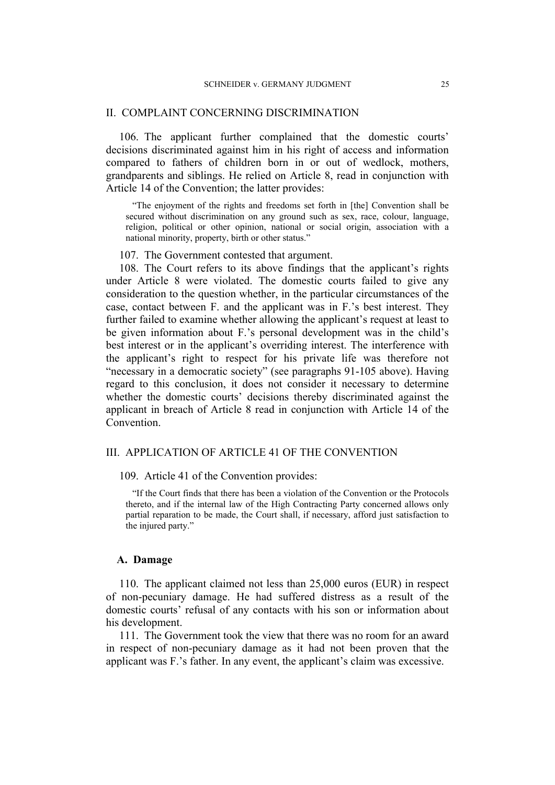### II. COMPLAINT CONCERNING DISCRIMINATION

106. The applicant further complained that the domestic courts' decisions discriminated against him in his right of access and information compared to fathers of children born in or out of wedlock, mothers, grandparents and siblings. He relied on Article 8, read in conjunction with Article 14 of the Convention; the latter provides:

"The enjoyment of the rights and freedoms set forth in [the] Convention shall be secured without discrimination on any ground such as sex, race, colour, language, religion, political or other opinion, national or social origin, association with a national minority, property, birth or other status."

107. The Government contested that argument.

108. The Court refers to its above findings that the applicant's rights under Article 8 were violated. The domestic courts failed to give any consideration to the question whether, in the particular circumstances of the case, contact between F. and the applicant was in F.'s best interest. They further failed to examine whether allowing the applicant's request at least to be given information about F.'s personal development was in the child's best interest or in the applicant's overriding interest. The interference with the applicant's right to respect for his private life was therefore not "necessary in a democratic society" (see paragraphs 91-105 above). Having regard to this conclusion, it does not consider it necessary to determine whether the domestic courts' decisions thereby discriminated against the applicant in breach of Article 8 read in conjunction with Article 14 of the Convention.

### III. APPLICATION OF ARTICLE 41 OF THE CONVENTION

109. Article 41 of the Convention provides:

"If the Court finds that there has been a violation of the Convention or the Protocols thereto, and if the internal law of the High Contracting Party concerned allows only partial reparation to be made, the Court shall, if necessary, afford just satisfaction to the injured party."

#### **A. Damage**

110. The applicant claimed not less than 25,000 euros (EUR) in respect of non-pecuniary damage. He had suffered distress as a result of the domestic courts' refusal of any contacts with his son or information about his development.

111. The Government took the view that there was no room for an award in respect of non-pecuniary damage as it had not been proven that the applicant was F.'s father. In any event, the applicant's claim was excessive.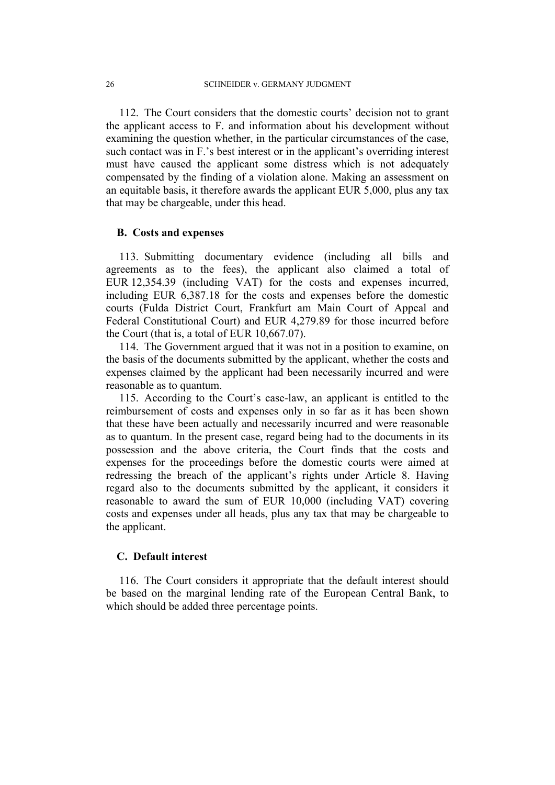112. The Court considers that the domestic courts' decision not to grant the applicant access to F. and information about his development without examining the question whether, in the particular circumstances of the case, such contact was in F.'s best interest or in the applicant's overriding interest must have caused the applicant some distress which is not adequately compensated by the finding of a violation alone. Making an assessment on an equitable basis, it therefore awards the applicant EUR 5,000, plus any tax that may be chargeable, under this head.

## **B. Costs and expenses**

113. Submitting documentary evidence (including all bills and agreements as to the fees), the applicant also claimed a total of EUR 12,354.39 (including VAT) for the costs and expenses incurred, including EUR 6,387.18 for the costs and expenses before the domestic courts (Fulda District Court, Frankfurt am Main Court of Appeal and Federal Constitutional Court) and EUR 4,279.89 for those incurred before the Court (that is, a total of EUR 10,667.07).

114. The Government argued that it was not in a position to examine, on the basis of the documents submitted by the applicant, whether the costs and expenses claimed by the applicant had been necessarily incurred and were reasonable as to quantum.

115. According to the Court's case-law, an applicant is entitled to the reimbursement of costs and expenses only in so far as it has been shown that these have been actually and necessarily incurred and were reasonable as to quantum. In the present case, regard being had to the documents in its possession and the above criteria, the Court finds that the costs and expenses for the proceedings before the domestic courts were aimed at redressing the breach of the applicant's rights under Article 8. Having regard also to the documents submitted by the applicant, it considers it reasonable to award the sum of EUR 10,000 (including VAT) covering costs and expenses under all heads, plus any tax that may be chargeable to the applicant.

## **C. Default interest**

116. The Court considers it appropriate that the default interest should be based on the marginal lending rate of the European Central Bank, to which should be added three percentage points.